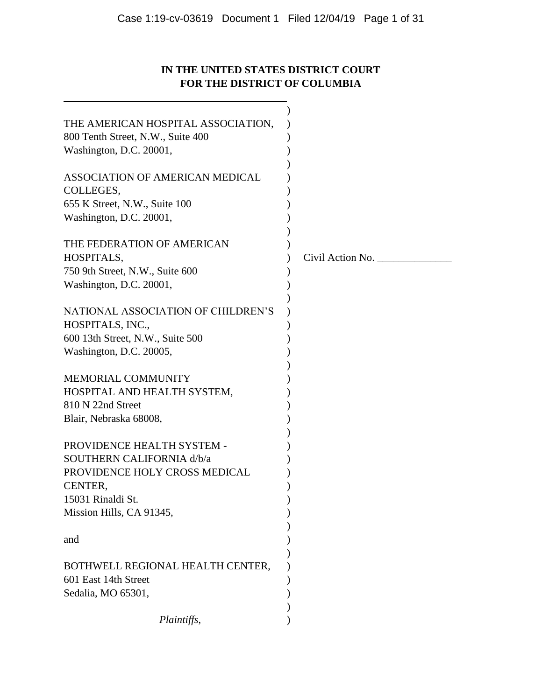# **IN THE UNITED STATES DISTRICT COURT FOR THE DISTRICT OF COLUMBIA**

| THE AMERICAN HOSPITAL ASSOCIATION,<br>800 Tenth Street, N.W., Suite 400<br>Washington, D.C. 20001,                       |                  |
|--------------------------------------------------------------------------------------------------------------------------|------------------|
| ASSOCIATION OF AMERICAN MEDICAL<br>COLLEGES,<br>655 K Street, N.W., Suite 100<br>Washington, D.C. 20001,                 |                  |
| THE FEDERATION OF AMERICAN<br>HOSPITALS,<br>750 9th Street, N.W., Suite 600<br>Washington, D.C. 20001,                   | Civil Action No. |
| NATIONAL ASSOCIATION OF CHILDREN'S<br>HOSPITALS, INC.,<br>600 13th Street, N.W., Suite 500<br>Washington, D.C. 20005,    |                  |
| <b>MEMORIAL COMMUNITY</b><br>HOSPITAL AND HEALTH SYSTEM,<br>810 N 22nd Street<br>Blair, Nebraska 68008,                  |                  |
| PROVIDENCE HEALTH SYSTEM -<br>SOUTHERN CALIFORNIA d/b/a<br>PROVIDENCE HOLY CROSS MEDICAL<br>CENTER,<br>15031 Rinaldi St. |                  |
| Mission Hills, CA 91345,<br>and                                                                                          |                  |
| BOTHWELL REGIONAL HEALTH CENTER,<br>601 East 14th Street<br>Sedalia, MO 65301,                                           |                  |
| Plaintiffs,                                                                                                              |                  |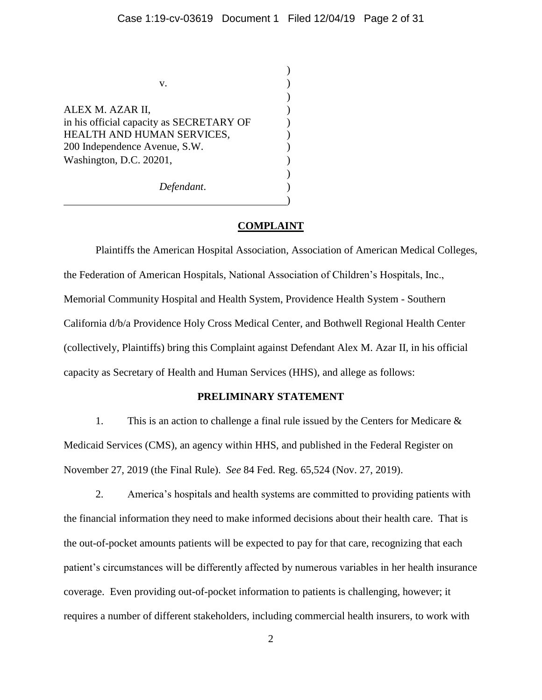$\lambda$ 

)

)

)

| V.                                                                                                                                                     |  |
|--------------------------------------------------------------------------------------------------------------------------------------------------------|--|
| ALEX M. AZAR II,<br>in his official capacity as SECRETARY OF<br>HEALTH AND HUMAN SERVICES,<br>200 Independence Avenue, S.W.<br>Washington, D.C. 20201, |  |
| Defendant.                                                                                                                                             |  |

## **COMPLAINT**

Plaintiffs the American Hospital Association, Association of American Medical Colleges, the Federation of American Hospitals, National Association of Children's Hospitals, Inc., Memorial Community Hospital and Health System, Providence Health System - Southern California d/b/a Providence Holy Cross Medical Center, and Bothwell Regional Health Center (collectively, Plaintiffs) bring this Complaint against Defendant Alex M. Azar II, in his official capacity as Secretary of Health and Human Services (HHS), and allege as follows:

# **PRELIMINARY STATEMENT**

1. This is an action to challenge a final rule issued by the Centers for Medicare & Medicaid Services (CMS), an agency within HHS, and published in the Federal Register on November 27, 2019 (the Final Rule). *See* 84 Fed. Reg. 65,524 (Nov. 27, 2019).

2. America's hospitals and health systems are committed to providing patients with the financial information they need to make informed decisions about their health care. That is the out-of-pocket amounts patients will be expected to pay for that care, recognizing that each patient's circumstances will be differently affected by numerous variables in her health insurance coverage. Even providing out-of-pocket information to patients is challenging, however; it requires a number of different stakeholders, including commercial health insurers, to work with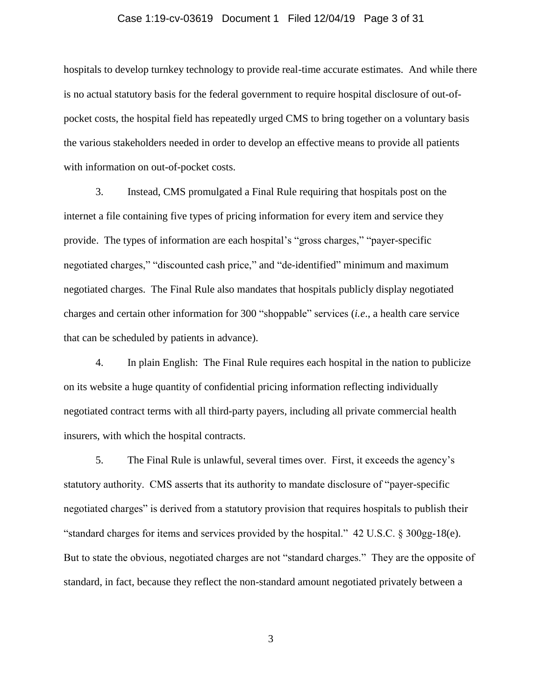## Case 1:19-cv-03619 Document 1 Filed 12/04/19 Page 3 of 31

hospitals to develop turnkey technology to provide real-time accurate estimates. And while there is no actual statutory basis for the federal government to require hospital disclosure of out-ofpocket costs, the hospital field has repeatedly urged CMS to bring together on a voluntary basis the various stakeholders needed in order to develop an effective means to provide all patients with information on out-of-pocket costs.

3. Instead, CMS promulgated a Final Rule requiring that hospitals post on the internet a file containing five types of pricing information for every item and service they provide. The types of information are each hospital's "gross charges," "payer-specific negotiated charges," "discounted cash price," and "de-identified" minimum and maximum negotiated charges. The Final Rule also mandates that hospitals publicly display negotiated charges and certain other information for 300 "shoppable" services (*i.e*., a health care service that can be scheduled by patients in advance).

4. In plain English: The Final Rule requires each hospital in the nation to publicize on its website a huge quantity of confidential pricing information reflecting individually negotiated contract terms with all third-party payers, including all private commercial health insurers, with which the hospital contracts.

5. The Final Rule is unlawful, several times over. First, it exceeds the agency's statutory authority. CMS asserts that its authority to mandate disclosure of "payer-specific negotiated charges" is derived from a statutory provision that requires hospitals to publish their "standard charges for items and services provided by the hospital." 42 U.S.C. § 300gg-18(e). But to state the obvious, negotiated charges are not "standard charges." They are the opposite of standard, in fact, because they reflect the non-standard amount negotiated privately between a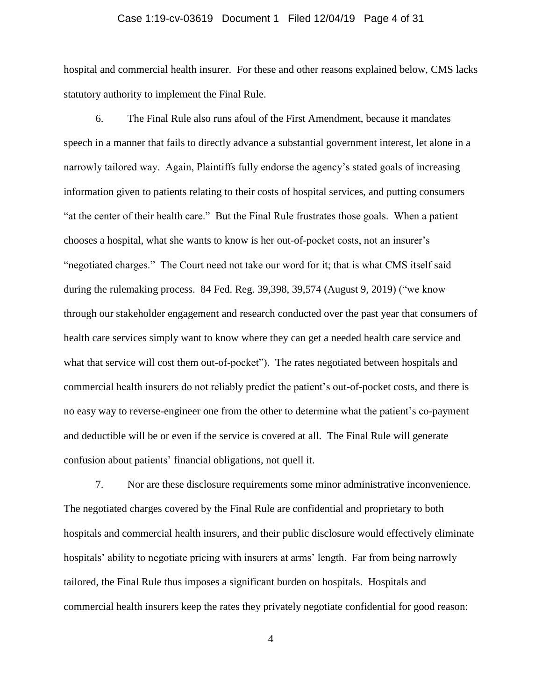## Case 1:19-cv-03619 Document 1 Filed 12/04/19 Page 4 of 31

hospital and commercial health insurer. For these and other reasons explained below, CMS lacks statutory authority to implement the Final Rule.

6. The Final Rule also runs afoul of the First Amendment, because it mandates speech in a manner that fails to directly advance a substantial government interest, let alone in a narrowly tailored way. Again, Plaintiffs fully endorse the agency's stated goals of increasing information given to patients relating to their costs of hospital services, and putting consumers "at the center of their health care." But the Final Rule frustrates those goals. When a patient chooses a hospital, what she wants to know is her out-of-pocket costs, not an insurer's "negotiated charges." The Court need not take our word for it; that is what CMS itself said during the rulemaking process. 84 Fed. Reg. 39,398, 39,574 (August 9, 2019) ("we know through our stakeholder engagement and research conducted over the past year that consumers of health care services simply want to know where they can get a needed health care service and what that service will cost them out-of-pocket"). The rates negotiated between hospitals and commercial health insurers do not reliably predict the patient's out-of-pocket costs, and there is no easy way to reverse-engineer one from the other to determine what the patient's co-payment and deductible will be or even if the service is covered at all. The Final Rule will generate confusion about patients' financial obligations, not quell it.

7. Nor are these disclosure requirements some minor administrative inconvenience. The negotiated charges covered by the Final Rule are confidential and proprietary to both hospitals and commercial health insurers, and their public disclosure would effectively eliminate hospitals' ability to negotiate pricing with insurers at arms' length. Far from being narrowly tailored, the Final Rule thus imposes a significant burden on hospitals. Hospitals and commercial health insurers keep the rates they privately negotiate confidential for good reason: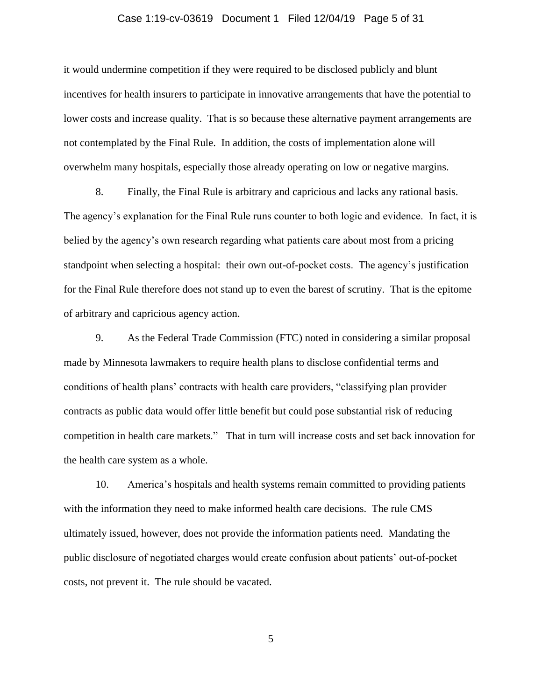## Case 1:19-cv-03619 Document 1 Filed 12/04/19 Page 5 of 31

it would undermine competition if they were required to be disclosed publicly and blunt incentives for health insurers to participate in innovative arrangements that have the potential to lower costs and increase quality. That is so because these alternative payment arrangements are not contemplated by the Final Rule. In addition, the costs of implementation alone will overwhelm many hospitals, especially those already operating on low or negative margins.

8. Finally, the Final Rule is arbitrary and capricious and lacks any rational basis. The agency's explanation for the Final Rule runs counter to both logic and evidence. In fact, it is belied by the agency's own research regarding what patients care about most from a pricing standpoint when selecting a hospital: their own out-of-pocket costs. The agency's justification for the Final Rule therefore does not stand up to even the barest of scrutiny. That is the epitome of arbitrary and capricious agency action.

9. As the Federal Trade Commission (FTC) noted in considering a similar proposal made by Minnesota lawmakers to require health plans to disclose confidential terms and conditions of health plans' contracts with health care providers, "classifying plan provider contracts as public data would offer little benefit but could pose substantial risk of reducing competition in health care markets." That in turn will increase costs and set back innovation for the health care system as a whole.

10. America's hospitals and health systems remain committed to providing patients with the information they need to make informed health care decisions. The rule CMS ultimately issued, however, does not provide the information patients need. Mandating the public disclosure of negotiated charges would create confusion about patients' out-of-pocket costs, not prevent it. The rule should be vacated.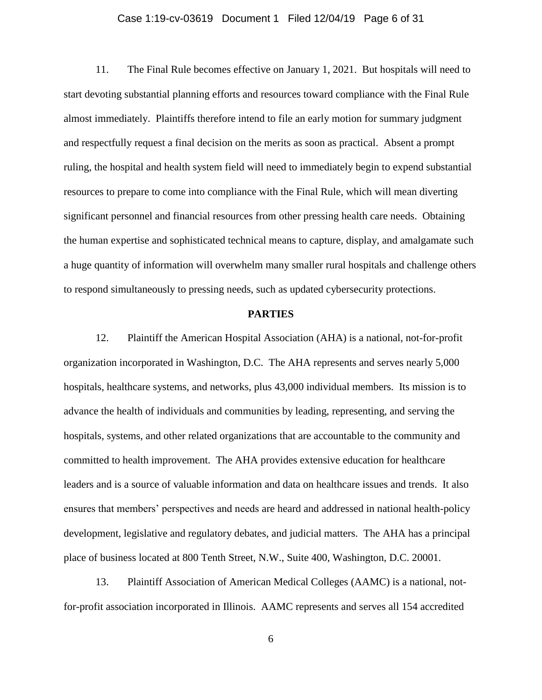## Case 1:19-cv-03619 Document 1 Filed 12/04/19 Page 6 of 31

11. The Final Rule becomes effective on January 1, 2021. But hospitals will need to start devoting substantial planning efforts and resources toward compliance with the Final Rule almost immediately. Plaintiffs therefore intend to file an early motion for summary judgment and respectfully request a final decision on the merits as soon as practical. Absent a prompt ruling, the hospital and health system field will need to immediately begin to expend substantial resources to prepare to come into compliance with the Final Rule, which will mean diverting significant personnel and financial resources from other pressing health care needs. Obtaining the human expertise and sophisticated technical means to capture, display, and amalgamate such a huge quantity of information will overwhelm many smaller rural hospitals and challenge others to respond simultaneously to pressing needs, such as updated cybersecurity protections.

## **PARTIES**

12. Plaintiff the American Hospital Association (AHA) is a national, not-for-profit organization incorporated in Washington, D.C. The AHA represents and serves nearly 5,000 hospitals, healthcare systems, and networks, plus 43,000 individual members. Its mission is to advance the health of individuals and communities by leading, representing, and serving the hospitals, systems, and other related organizations that are accountable to the community and committed to health improvement. The AHA provides extensive education for healthcare leaders and is a source of valuable information and data on healthcare issues and trends. It also ensures that members' perspectives and needs are heard and addressed in national health-policy development, legislative and regulatory debates, and judicial matters. The AHA has a principal place of business located at 800 Tenth Street, N.W., Suite 400, Washington, D.C. 20001.

13. Plaintiff Association of American Medical Colleges (AAMC) is a national, notfor-profit association incorporated in Illinois. AAMC represents and serves all 154 accredited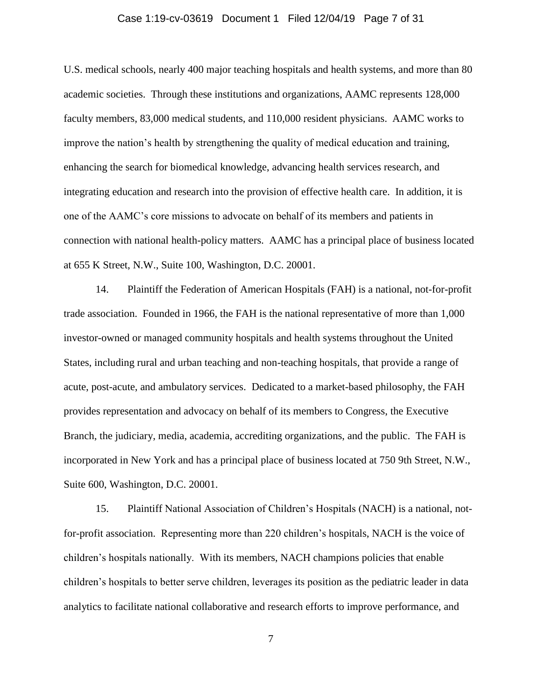## Case 1:19-cv-03619 Document 1 Filed 12/04/19 Page 7 of 31

U.S. medical schools, nearly 400 major teaching hospitals and health systems, and more than 80 academic societies. Through these institutions and organizations, AAMC represents 128,000 faculty members, 83,000 medical students, and 110,000 resident physicians. AAMC works to improve the nation's health by strengthening the quality of medical education and training, enhancing the search for biomedical knowledge, advancing health services research, and integrating education and research into the provision of effective health care. In addition, it is one of the AAMC's core missions to advocate on behalf of its members and patients in connection with national health-policy matters. AAMC has a principal place of business located at 655 K Street, N.W., Suite 100, Washington, D.C. 20001.

14. Plaintiff the Federation of American Hospitals (FAH) is a national, not-for-profit trade association. Founded in 1966, the FAH is the national representative of more than 1,000 investor-owned or managed community hospitals and health systems throughout the United States, including rural and urban teaching and non-teaching hospitals, that provide a range of acute, post-acute, and ambulatory services. Dedicated to a market-based philosophy, the FAH provides representation and advocacy on behalf of its members to Congress, the Executive Branch, the judiciary, media, academia, accrediting organizations, and the public. The FAH is incorporated in New York and has a principal place of business located at 750 9th Street, N.W., Suite 600, Washington, D.C. 20001.

15. Plaintiff National Association of Children's Hospitals (NACH) is a national, notfor-profit association. Representing more than 220 children's hospitals, NACH is the voice of children's hospitals nationally. With its members, NACH champions policies that enable children's hospitals to better serve children, leverages its position as the pediatric leader in data analytics to facilitate national collaborative and research efforts to improve performance, and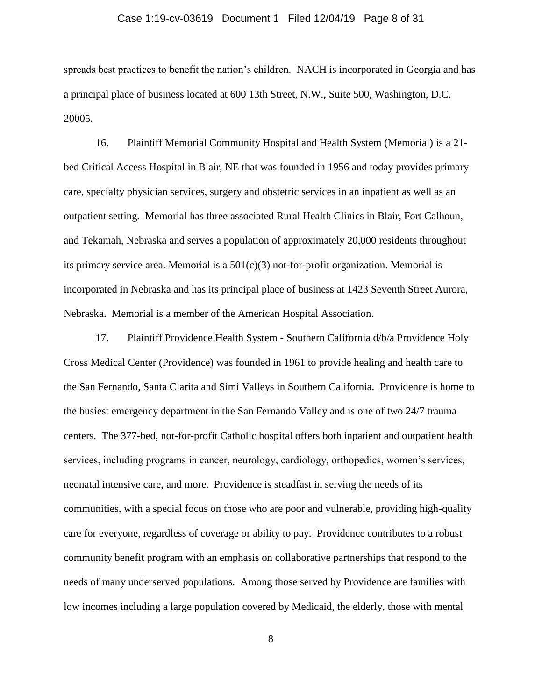## Case 1:19-cv-03619 Document 1 Filed 12/04/19 Page 8 of 31

spreads best practices to benefit the nation's children. NACH is incorporated in Georgia and has a principal place of business located at 600 13th Street, N.W., Suite 500, Washington, D.C. 20005.

16. Plaintiff Memorial Community Hospital and Health System (Memorial) is a 21 bed Critical Access Hospital in Blair, NE that was founded in 1956 and today provides primary care, specialty physician services, surgery and obstetric services in an inpatient as well as an outpatient setting. Memorial has three associated Rural Health Clinics in Blair, Fort Calhoun, and Tekamah, Nebraska and serves a population of approximately 20,000 residents throughout its primary service area. Memorial is a  $501(c)(3)$  not-for-profit organization. Memorial is incorporated in Nebraska and has its principal place of business at 1423 Seventh Street Aurora, Nebraska. Memorial is a member of the American Hospital Association.

17. Plaintiff Providence Health System - Southern California d/b/a Providence Holy Cross Medical Center (Providence) was founded in 1961 to provide healing and health care to the San Fernando, Santa Clarita and Simi Valleys in Southern California. Providence is home to the busiest emergency department in the San Fernando Valley and is one of two 24/7 trauma centers. The 377-bed, not-for-profit Catholic hospital offers both inpatient and outpatient health services, including programs in cancer, neurology, cardiology, orthopedics, women's services, neonatal intensive care, and more. Providence is steadfast in serving the needs of its communities, with a special focus on those who are poor and vulnerable, providing high-quality care for everyone, regardless of coverage or ability to pay. Providence contributes to a robust community benefit program with an emphasis on collaborative partnerships that respond to the needs of many underserved populations. Among those served by Providence are families with low incomes including a large population covered by Medicaid, the elderly, those with mental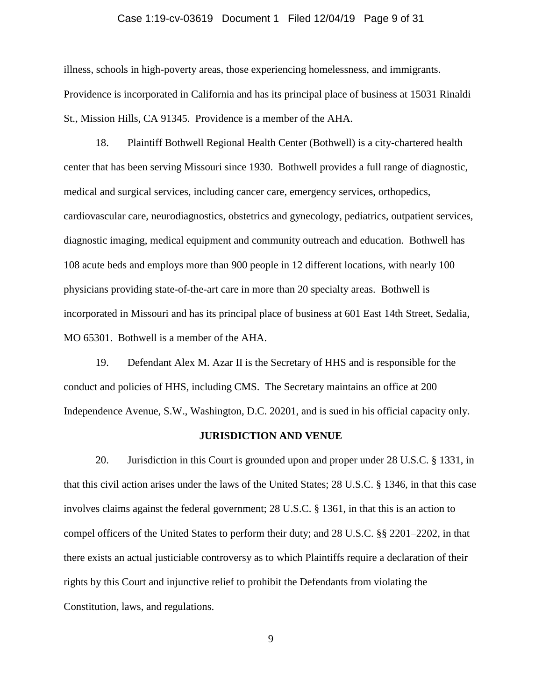## Case 1:19-cv-03619 Document 1 Filed 12/04/19 Page 9 of 31

illness, schools in high-poverty areas, those experiencing homelessness, and immigrants. Providence is incorporated in California and has its principal place of business at 15031 Rinaldi St., Mission Hills, CA 91345. Providence is a member of the AHA.

18. Plaintiff Bothwell Regional Health Center (Bothwell) is a city-chartered health center that has been serving Missouri since 1930. Bothwell provides a full range of diagnostic, medical and surgical services, including cancer care, emergency services, orthopedics, cardiovascular care, neurodiagnostics, obstetrics and gynecology, pediatrics, outpatient services, diagnostic imaging, medical equipment and community outreach and education. Bothwell has 108 acute beds and employs more than 900 people in 12 different locations, with nearly 100 physicians providing state-of-the-art care in more than 20 specialty areas. Bothwell is incorporated in Missouri and has its principal place of business at 601 East 14th Street, Sedalia, MO 65301. Bothwell is a member of the AHA.

19. Defendant Alex M. Azar II is the Secretary of HHS and is responsible for the conduct and policies of HHS, including CMS. The Secretary maintains an office at 200 Independence Avenue, S.W., Washington, D.C. 20201, and is sued in his official capacity only.

#### **JURISDICTION AND VENUE**

20. Jurisdiction in this Court is grounded upon and proper under 28 U.S.C. § 1331, in that this civil action arises under the laws of the United States; 28 U.S.C. § 1346, in that this case involves claims against the federal government; 28 U.S.C. § 1361, in that this is an action to compel officers of the United States to perform their duty; and 28 U.S.C. §§ 2201–2202, in that there exists an actual justiciable controversy as to which Plaintiffs require a declaration of their rights by this Court and injunctive relief to prohibit the Defendants from violating the Constitution, laws, and regulations.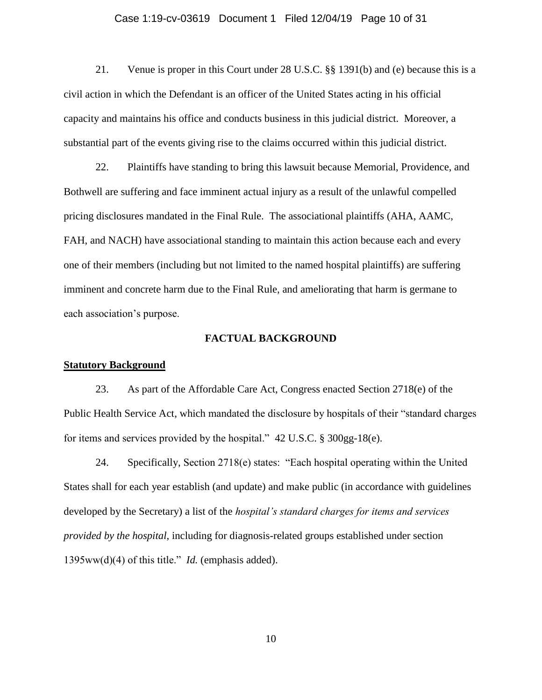## Case 1:19-cv-03619 Document 1 Filed 12/04/19 Page 10 of 31

21. Venue is proper in this Court under 28 U.S.C. §§ 1391(b) and (e) because this is a civil action in which the Defendant is an officer of the United States acting in his official capacity and maintains his office and conducts business in this judicial district. Moreover, a substantial part of the events giving rise to the claims occurred within this judicial district.

22. Plaintiffs have standing to bring this lawsuit because Memorial, Providence, and Bothwell are suffering and face imminent actual injury as a result of the unlawful compelled pricing disclosures mandated in the Final Rule. The associational plaintiffs (AHA, AAMC, FAH, and NACH) have associational standing to maintain this action because each and every one of their members (including but not limited to the named hospital plaintiffs) are suffering imminent and concrete harm due to the Final Rule, and ameliorating that harm is germane to each association's purpose.

#### **FACTUAL BACKGROUND**

# **Statutory Background**

23. As part of the Affordable Care Act, Congress enacted Section 2718(e) of the Public Health Service Act, which mandated the disclosure by hospitals of their "standard charges for items and services provided by the hospital." 42 U.S.C. § 300gg-18(e).

24. Specifically, Section 2718(e) states: "Each hospital operating within the United States shall for each year establish (and update) and make public (in accordance with guidelines developed by the Secretary) a list of the *hospital's standard charges for items and services provided by the hospital,* including for diagnosis-related groups established under section 1395ww(d)(4) of this title." *Id.* (emphasis added).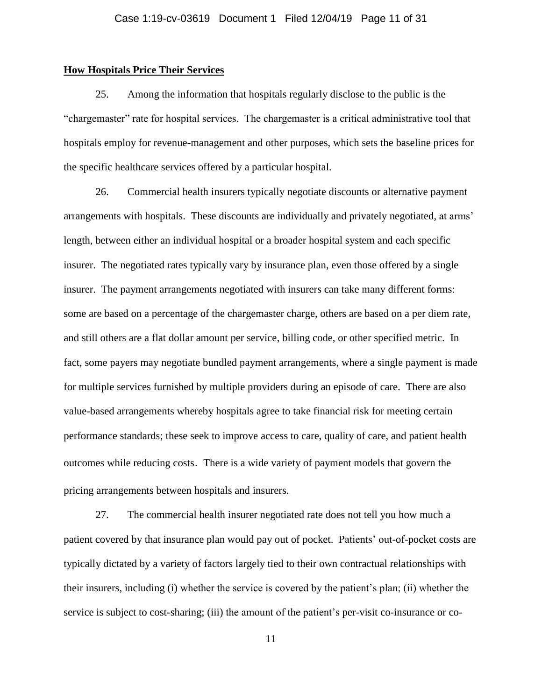# **How Hospitals Price Their Services**

25. Among the information that hospitals regularly disclose to the public is the "chargemaster" rate for hospital services. The chargemaster is a critical administrative tool that hospitals employ for revenue-management and other purposes, which sets the baseline prices for the specific healthcare services offered by a particular hospital.

26. Commercial health insurers typically negotiate discounts or alternative payment arrangements with hospitals. These discounts are individually and privately negotiated, at arms' length, between either an individual hospital or a broader hospital system and each specific insurer. The negotiated rates typically vary by insurance plan, even those offered by a single insurer. The payment arrangements negotiated with insurers can take many different forms: some are based on a percentage of the chargemaster charge, others are based on a per diem rate, and still others are a flat dollar amount per service, billing code, or other specified metric. In fact, some payers may negotiate bundled payment arrangements, where a single payment is made for multiple services furnished by multiple providers during an episode of care. There are also value-based arrangements whereby hospitals agree to take financial risk for meeting certain performance standards; these seek to improve access to care, quality of care, and patient health outcomes while reducing costs. There is a wide variety of payment models that govern the pricing arrangements between hospitals and insurers.

27. The commercial health insurer negotiated rate does not tell you how much a patient covered by that insurance plan would pay out of pocket. Patients' out-of-pocket costs are typically dictated by a variety of factors largely tied to their own contractual relationships with their insurers, including (i) whether the service is covered by the patient's plan; (ii) whether the service is subject to cost-sharing; (iii) the amount of the patient's per-visit co-insurance or co-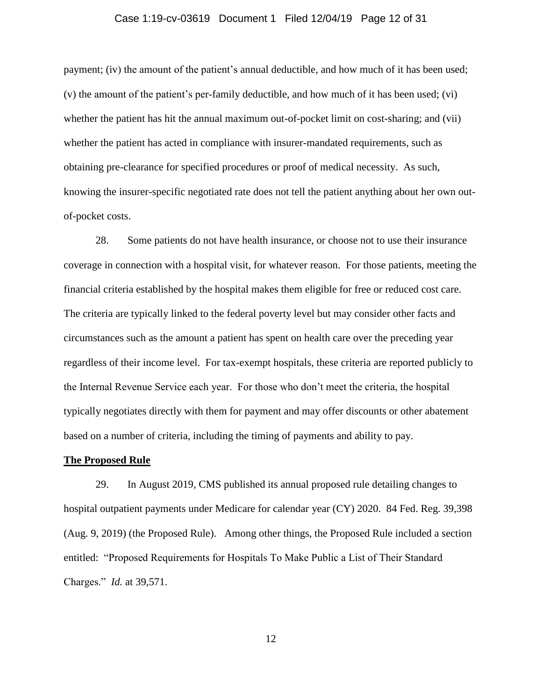## Case 1:19-cv-03619 Document 1 Filed 12/04/19 Page 12 of 31

payment; (iv) the amount of the patient's annual deductible, and how much of it has been used; (v) the amount of the patient's per-family deductible, and how much of it has been used; (vi) whether the patient has hit the annual maximum out-of-pocket limit on cost-sharing; and (vii) whether the patient has acted in compliance with insurer-mandated requirements, such as obtaining pre-clearance for specified procedures or proof of medical necessity. As such, knowing the insurer-specific negotiated rate does not tell the patient anything about her own outof-pocket costs.

28. Some patients do not have health insurance, or choose not to use their insurance coverage in connection with a hospital visit, for whatever reason. For those patients, meeting the financial criteria established by the hospital makes them eligible for free or reduced cost care. The criteria are typically linked to the federal poverty level but may consider other facts and circumstances such as the amount a patient has spent on health care over the preceding year regardless of their income level. For tax-exempt hospitals, these criteria are reported publicly to the Internal Revenue Service each year. For those who don't meet the criteria, the hospital typically negotiates directly with them for payment and may offer discounts or other abatement based on a number of criteria, including the timing of payments and ability to pay.

#### **The Proposed Rule**

29. In August 2019, CMS published its annual proposed rule detailing changes to hospital outpatient payments under Medicare for calendar year (CY) 2020. 84 Fed. Reg. 39,398 (Aug. 9, 2019) (the Proposed Rule). Among other things, the Proposed Rule included a section entitled: "Proposed Requirements for Hospitals To Make Public a List of Their Standard Charges." *Id.* at 39,571.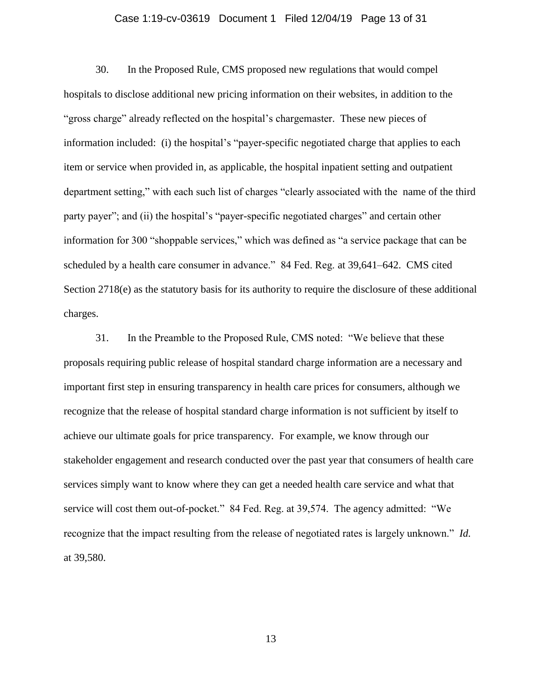## Case 1:19-cv-03619 Document 1 Filed 12/04/19 Page 13 of 31

30. In the Proposed Rule, CMS proposed new regulations that would compel hospitals to disclose additional new pricing information on their websites, in addition to the "gross charge" already reflected on the hospital's chargemaster. These new pieces of information included: (i) the hospital's "payer-specific negotiated charge that applies to each item or service when provided in, as applicable, the hospital inpatient setting and outpatient department setting," with each such list of charges "clearly associated with the name of the third party payer"; and (ii) the hospital's "payer-specific negotiated charges" and certain other information for 300 "shoppable services," which was defined as "a service package that can be scheduled by a health care consumer in advance." 84 Fed. Reg. at 39,641–642. CMS cited Section 2718(e) as the statutory basis for its authority to require the disclosure of these additional charges.

31. In the Preamble to the Proposed Rule, CMS noted: "We believe that these proposals requiring public release of hospital standard charge information are a necessary and important first step in ensuring transparency in health care prices for consumers, although we recognize that the release of hospital standard charge information is not sufficient by itself to achieve our ultimate goals for price transparency. For example, we know through our stakeholder engagement and research conducted over the past year that consumers of health care services simply want to know where they can get a needed health care service and what that service will cost them out-of-pocket." 84 Fed. Reg. at 39,574. The agency admitted: "We recognize that the impact resulting from the release of negotiated rates is largely unknown." *Id.* at 39,580.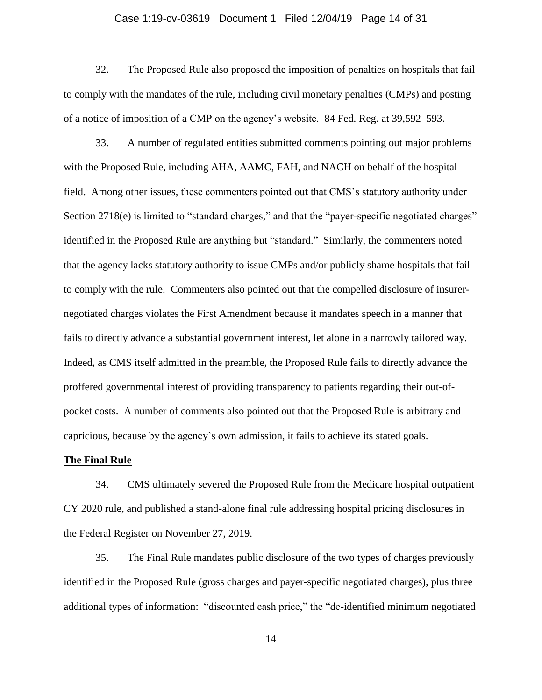## Case 1:19-cv-03619 Document 1 Filed 12/04/19 Page 14 of 31

32. The Proposed Rule also proposed the imposition of penalties on hospitals that fail to comply with the mandates of the rule, including civil monetary penalties (CMPs) and posting of a notice of imposition of a CMP on the agency's website. 84 Fed. Reg. at 39,592–593.

33. A number of regulated entities submitted comments pointing out major problems with the Proposed Rule, including AHA, AAMC, FAH, and NACH on behalf of the hospital field. Among other issues, these commenters pointed out that CMS's statutory authority under Section 2718(e) is limited to "standard charges," and that the "payer-specific negotiated charges" identified in the Proposed Rule are anything but "standard." Similarly, the commenters noted that the agency lacks statutory authority to issue CMPs and/or publicly shame hospitals that fail to comply with the rule. Commenters also pointed out that the compelled disclosure of insurernegotiated charges violates the First Amendment because it mandates speech in a manner that fails to directly advance a substantial government interest, let alone in a narrowly tailored way. Indeed, as CMS itself admitted in the preamble, the Proposed Rule fails to directly advance the proffered governmental interest of providing transparency to patients regarding their out-ofpocket costs. A number of comments also pointed out that the Proposed Rule is arbitrary and capricious, because by the agency's own admission, it fails to achieve its stated goals.

#### **The Final Rule**

34. CMS ultimately severed the Proposed Rule from the Medicare hospital outpatient CY 2020 rule, and published a stand-alone final rule addressing hospital pricing disclosures in the Federal Register on November 27, 2019.

35. The Final Rule mandates public disclosure of the two types of charges previously identified in the Proposed Rule (gross charges and payer-specific negotiated charges), plus three additional types of information: "discounted cash price," the "de-identified minimum negotiated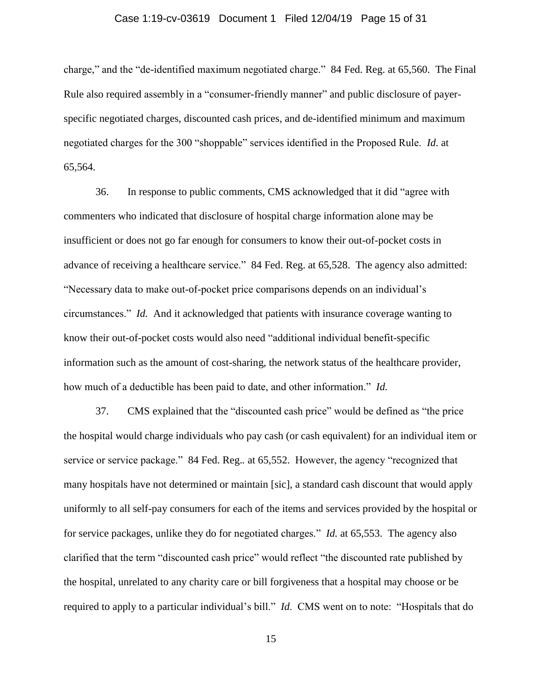## Case 1:19-cv-03619 Document 1 Filed 12/04/19 Page 15 of 31

charge," and the "de-identified maximum negotiated charge." 84 Fed. Reg. at 65,560. The Final Rule also required assembly in a "consumer-friendly manner" and public disclosure of payerspecific negotiated charges, discounted cash prices, and de-identified minimum and maximum negotiated charges for the 300 "shoppable" services identified in the Proposed Rule. *Id*. at 65,564.

36. In response to public comments, CMS acknowledged that it did "agree with commenters who indicated that disclosure of hospital charge information alone may be insufficient or does not go far enough for consumers to know their out-of-pocket costs in advance of receiving a healthcare service." 84 Fed. Reg. at 65,528. The agency also admitted: "Necessary data to make out-of-pocket price comparisons depends on an individual's circumstances." *Id.* And it acknowledged that patients with insurance coverage wanting to know their out-of-pocket costs would also need "additional individual benefit-specific information such as the amount of cost-sharing, the network status of the healthcare provider, how much of a deductible has been paid to date, and other information." *Id.*

37. CMS explained that the "discounted cash price" would be defined as "the price the hospital would charge individuals who pay cash (or cash equivalent) for an individual item or service or service package." 84 Fed. Reg.*.* at 65,552. However, the agency "recognized that many hospitals have not determined or maintain [sic], a standard cash discount that would apply uniformly to all self-pay consumers for each of the items and services provided by the hospital or for service packages, unlike they do for negotiated charges." *Id.* at 65,553. The agency also clarified that the term "discounted cash price" would reflect "the discounted rate published by the hospital, unrelated to any charity care or bill forgiveness that a hospital may choose or be required to apply to a particular individual's bill." *Id*. CMS went on to note: "Hospitals that do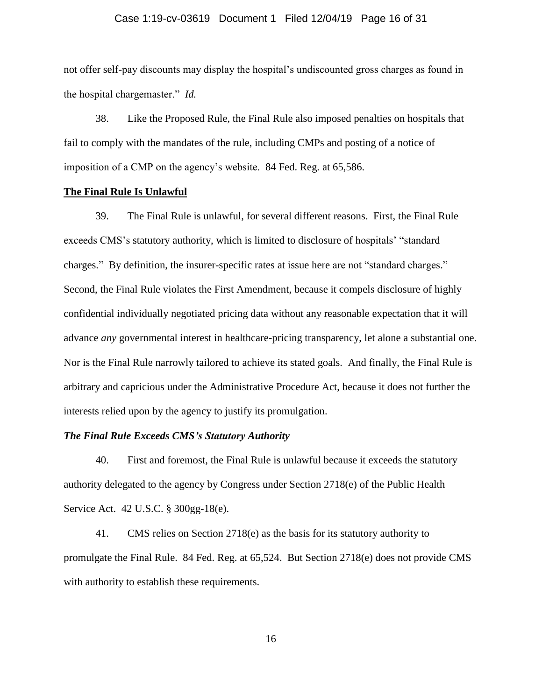#### Case 1:19-cv-03619 Document 1 Filed 12/04/19 Page 16 of 31

not offer self-pay discounts may display the hospital's undiscounted gross charges as found in the hospital chargemaster." *Id.*

38. Like the Proposed Rule, the Final Rule also imposed penalties on hospitals that fail to comply with the mandates of the rule, including CMPs and posting of a notice of imposition of a CMP on the agency's website. 84 Fed. Reg. at 65,586.

## **The Final Rule Is Unlawful**

39. The Final Rule is unlawful, for several different reasons. First, the Final Rule exceeds CMS's statutory authority, which is limited to disclosure of hospitals' "standard charges." By definition, the insurer-specific rates at issue here are not "standard charges." Second, the Final Rule violates the First Amendment, because it compels disclosure of highly confidential individually negotiated pricing data without any reasonable expectation that it will advance *any* governmental interest in healthcare-pricing transparency, let alone a substantial one. Nor is the Final Rule narrowly tailored to achieve its stated goals. And finally, the Final Rule is arbitrary and capricious under the Administrative Procedure Act, because it does not further the interests relied upon by the agency to justify its promulgation.

## *The Final Rule Exceeds CMS's Statutory Authority*

40. First and foremost, the Final Rule is unlawful because it exceeds the statutory authority delegated to the agency by Congress under Section 2718(e) of the Public Health Service Act. 42 U.S.C. § 300gg-18(e).

41. CMS relies on Section 2718(e) as the basis for its statutory authority to promulgate the Final Rule. 84 Fed. Reg. at 65,524. But Section 2718(e) does not provide CMS with authority to establish these requirements.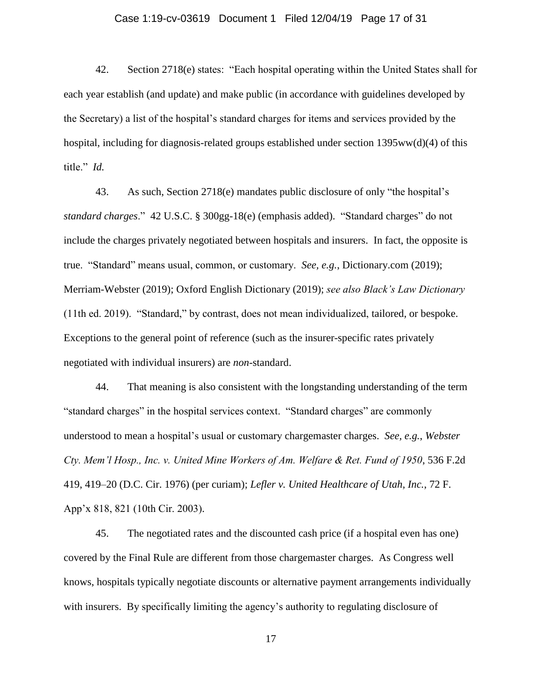## Case 1:19-cv-03619 Document 1 Filed 12/04/19 Page 17 of 31

42. Section 2718(e) states: "Each hospital operating within the United States shall for each year establish (and update) and make public (in accordance with guidelines developed by the Secretary) a list of the hospital's standard charges for items and services provided by the hospital, including for diagnosis-related groups established under section 1395ww(d)(4) of this title." *Id.*

43. As such, Section 2718(e) mandates public disclosure of only "the hospital's *standard charges*." 42 U.S.C. § 300gg-18(e) (emphasis added). "Standard charges" do not include the charges privately negotiated between hospitals and insurers. In fact, the opposite is true. "Standard" means usual, common, or customary. *See, e.g.*, Dictionary.com (2019); Merriam-Webster (2019); Oxford English Dictionary (2019); *see also Black's Law Dictionary* (11th ed. 2019). "Standard," by contrast, does not mean individualized, tailored, or bespoke. Exceptions to the general point of reference (such as the insurer-specific rates privately negotiated with individual insurers) are *non-*standard.

44. That meaning is also consistent with the longstanding understanding of the term "standard charges" in the hospital services context. "Standard charges" are commonly understood to mean a hospital's usual or customary chargemaster charges. *See, e.g.*, *Webster Cty. Mem'l Hosp., Inc. v. United Mine Workers of Am. Welfare & Ret. Fund of 1950*, 536 F.2d 419, 419–20 (D.C. Cir. 1976) (per curiam); *Lefler v. United Healthcare of Utah, Inc.*, 72 F. App'x 818, 821 (10th Cir. 2003).

45. The negotiated rates and the discounted cash price (if a hospital even has one) covered by the Final Rule are different from those chargemaster charges. As Congress well knows, hospitals typically negotiate discounts or alternative payment arrangements individually with insurers. By specifically limiting the agency's authority to regulating disclosure of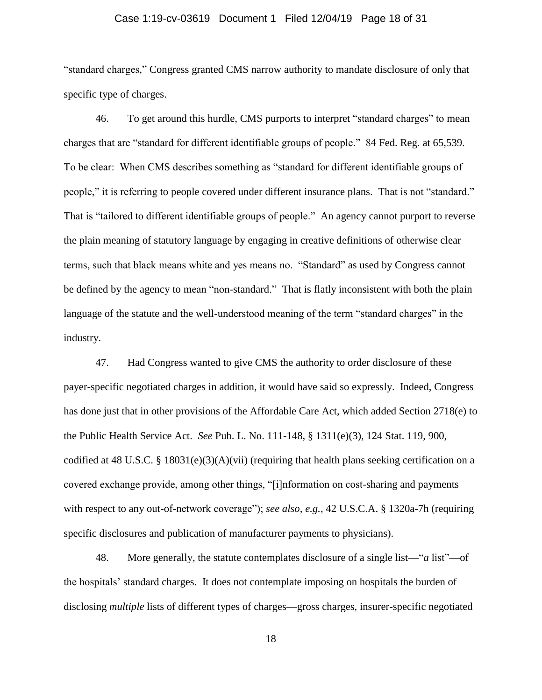## Case 1:19-cv-03619 Document 1 Filed 12/04/19 Page 18 of 31

"standard charges," Congress granted CMS narrow authority to mandate disclosure of only that specific type of charges.

46. To get around this hurdle, CMS purports to interpret "standard charges" to mean charges that are "standard for different identifiable groups of people." 84 Fed. Reg. at 65,539. To be clear: When CMS describes something as "standard for different identifiable groups of people," it is referring to people covered under different insurance plans. That is not "standard." That is "tailored to different identifiable groups of people." An agency cannot purport to reverse the plain meaning of statutory language by engaging in creative definitions of otherwise clear terms, such that black means white and yes means no. "Standard" as used by Congress cannot be defined by the agency to mean "non-standard." That is flatly inconsistent with both the plain language of the statute and the well-understood meaning of the term "standard charges" in the industry.

47. Had Congress wanted to give CMS the authority to order disclosure of these payer-specific negotiated charges in addition, it would have said so expressly. Indeed, Congress has done just that in other provisions of the Affordable Care Act, which added Section 2718(e) to the Public Health Service Act. *See* Pub. L. No. 111-148, § 1311(e)(3), 124 Stat. 119, 900, codified at 48 U.S.C. § 18031(e)(3)(A)(vii) (requiring that health plans seeking certification on a covered exchange provide, among other things, "[i]nformation on cost-sharing and payments with respect to any out-of-network coverage"); *see also, e.g.*, 42 U.S.C.A. § 1320a-7h (requiring specific disclosures and publication of manufacturer payments to physicians).

48. More generally, the statute contemplates disclosure of a single list—"*a* list"—of the hospitals' standard charges. It does not contemplate imposing on hospitals the burden of disclosing *multiple* lists of different types of charges—gross charges, insurer-specific negotiated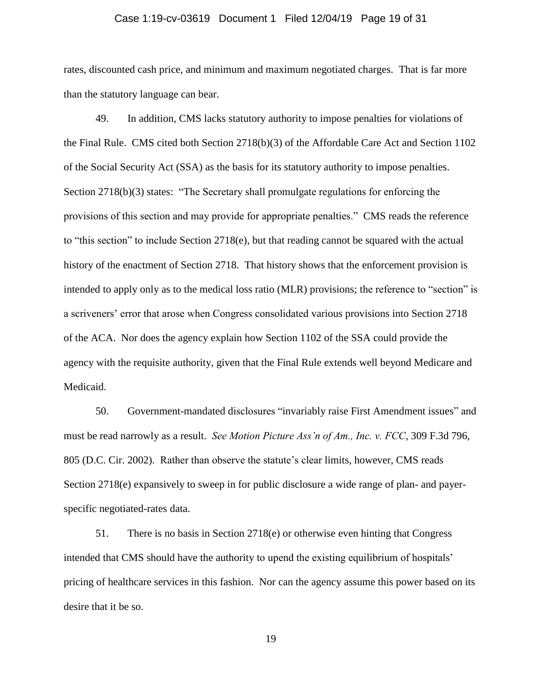#### Case 1:19-cv-03619 Document 1 Filed 12/04/19 Page 19 of 31

rates, discounted cash price, and minimum and maximum negotiated charges. That is far more than the statutory language can bear.

49. In addition, CMS lacks statutory authority to impose penalties for violations of the Final Rule. CMS cited both Section 2718(b)(3) of the Affordable Care Act and Section 1102 of the Social Security Act (SSA) as the basis for its statutory authority to impose penalties. Section 2718(b)(3) states: "The Secretary shall promulgate regulations for enforcing the provisions of this section and may provide for appropriate penalties." CMS reads the reference to "this section" to include Section 2718(e), but that reading cannot be squared with the actual history of the enactment of Section 2718. That history shows that the enforcement provision is intended to apply only as to the medical loss ratio (MLR) provisions; the reference to "section" is a scriveners' error that arose when Congress consolidated various provisions into Section 2718 of the ACA. Nor does the agency explain how Section 1102 of the SSA could provide the agency with the requisite authority, given that the Final Rule extends well beyond Medicare and Medicaid.

50. Government-mandated disclosures "invariably raise First Amendment issues" and must be read narrowly as a result. *See Motion Picture Ass'n of Am., Inc. v. FCC*, 309 F.3d 796, 805 (D.C. Cir. 2002). Rather than observe the statute's clear limits, however, CMS reads Section 2718(e) expansively to sweep in for public disclosure a wide range of plan- and payerspecific negotiated-rates data.

51. There is no basis in Section 2718(e) or otherwise even hinting that Congress intended that CMS should have the authority to upend the existing equilibrium of hospitals' pricing of healthcare services in this fashion. Nor can the agency assume this power based on its desire that it be so.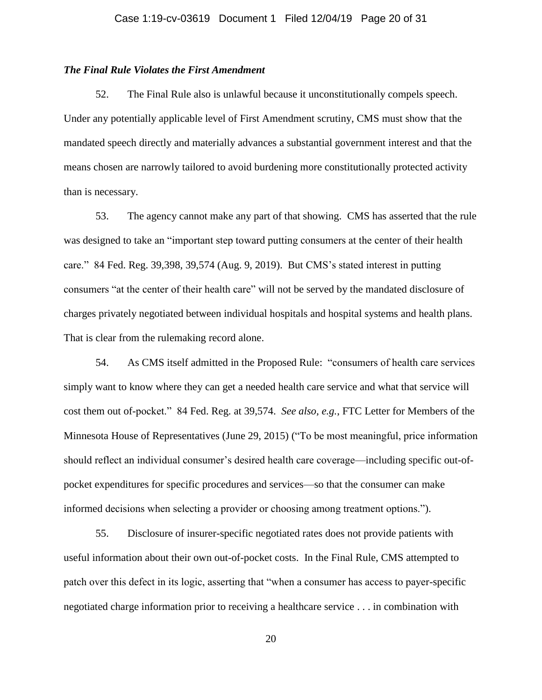# *The Final Rule Violates the First Amendment*

52. The Final Rule also is unlawful because it unconstitutionally compels speech. Under any potentially applicable level of First Amendment scrutiny, CMS must show that the mandated speech directly and materially advances a substantial government interest and that the means chosen are narrowly tailored to avoid burdening more constitutionally protected activity than is necessary.

53. The agency cannot make any part of that showing. CMS has asserted that the rule was designed to take an "important step toward putting consumers at the center of their health care." 84 Fed. Reg. 39,398, 39,574 (Aug. 9, 2019). But CMS's stated interest in putting consumers "at the center of their health care" will not be served by the mandated disclosure of charges privately negotiated between individual hospitals and hospital systems and health plans. That is clear from the rulemaking record alone.

54. As CMS itself admitted in the Proposed Rule: "consumers of health care services simply want to know where they can get a needed health care service and what that service will cost them out of-pocket." 84 Fed. Reg. at 39,574. *See also, e.g.*, FTC Letter for Members of the Minnesota House of Representatives (June 29, 2015) ("To be most meaningful, price information should reflect an individual consumer's desired health care coverage—including specific out-ofpocket expenditures for specific procedures and services—so that the consumer can make informed decisions when selecting a provider or choosing among treatment options.").

55. Disclosure of insurer-specific negotiated rates does not provide patients with useful information about their own out-of-pocket costs. In the Final Rule, CMS attempted to patch over this defect in its logic, asserting that "when a consumer has access to payer-specific negotiated charge information prior to receiving a healthcare service . . . in combination with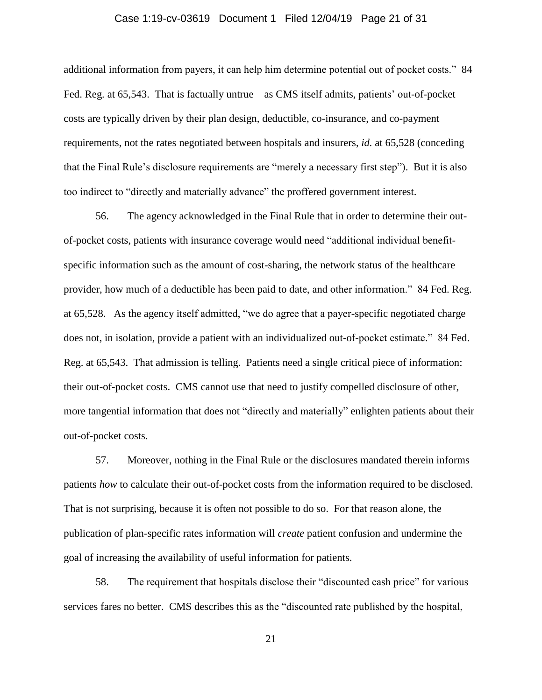## Case 1:19-cv-03619 Document 1 Filed 12/04/19 Page 21 of 31

additional information from payers, it can help him determine potential out of pocket costs." 84 Fed. Reg. at 65,543. That is factually untrue—as CMS itself admits, patients' out-of-pocket costs are typically driven by their plan design, deductible, co-insurance, and co-payment requirements, not the rates negotiated between hospitals and insurers, *id.* at 65,528 (conceding that the Final Rule's disclosure requirements are "merely a necessary first step"). But it is also too indirect to "directly and materially advance" the proffered government interest.

56. The agency acknowledged in the Final Rule that in order to determine their outof-pocket costs, patients with insurance coverage would need "additional individual benefitspecific information such as the amount of cost-sharing, the network status of the healthcare provider, how much of a deductible has been paid to date, and other information." 84 Fed. Reg. at 65,528. As the agency itself admitted, "we do agree that a payer-specific negotiated charge does not, in isolation, provide a patient with an individualized out-of-pocket estimate." 84 Fed. Reg. at 65,543. That admission is telling. Patients need a single critical piece of information: their out-of-pocket costs. CMS cannot use that need to justify compelled disclosure of other, more tangential information that does not "directly and materially" enlighten patients about their out-of-pocket costs.

57. Moreover, nothing in the Final Rule or the disclosures mandated therein informs patients *how* to calculate their out-of-pocket costs from the information required to be disclosed. That is not surprising, because it is often not possible to do so. For that reason alone, the publication of plan-specific rates information will *create* patient confusion and undermine the goal of increasing the availability of useful information for patients.

58. The requirement that hospitals disclose their "discounted cash price" for various services fares no better. CMS describes this as the "discounted rate published by the hospital,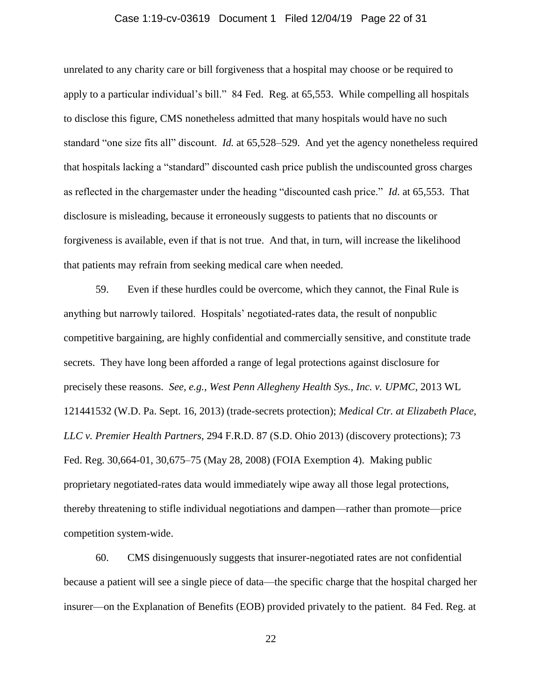## Case 1:19-cv-03619 Document 1 Filed 12/04/19 Page 22 of 31

unrelated to any charity care or bill forgiveness that a hospital may choose or be required to apply to a particular individual's bill." 84 Fed. Reg. at 65,553. While compelling all hospitals to disclose this figure, CMS nonetheless admitted that many hospitals would have no such standard "one size fits all" discount. *Id.* at 65,528–529. And yet the agency nonetheless required that hospitals lacking a "standard" discounted cash price publish the undiscounted gross charges as reflected in the chargemaster under the heading "discounted cash price." *Id*. at 65,553. That disclosure is misleading, because it erroneously suggests to patients that no discounts or forgiveness is available, even if that is not true. And that, in turn, will increase the likelihood that patients may refrain from seeking medical care when needed.

59. Even if these hurdles could be overcome, which they cannot, the Final Rule is anything but narrowly tailored. Hospitals' negotiated-rates data, the result of nonpublic competitive bargaining, are highly confidential and commercially sensitive, and constitute trade secrets. They have long been afforded a range of legal protections against disclosure for precisely these reasons. *See, e.g.*, *West Penn Allegheny Health Sys., Inc. v. UPMC*, 2013 WL 121441532 (W.D. Pa. Sept. 16, 2013) (trade-secrets protection); *Medical Ctr. at Elizabeth Place, LLC v. Premier Health Partners*, 294 F.R.D. 87 (S.D. Ohio 2013) (discovery protections); 73 Fed. Reg. 30,664-01, 30,675–75 (May 28, 2008) (FOIA Exemption 4). Making public proprietary negotiated-rates data would immediately wipe away all those legal protections, thereby threatening to stifle individual negotiations and dampen—rather than promote—price competition system-wide.

60. CMS disingenuously suggests that insurer-negotiated rates are not confidential because a patient will see a single piece of data—the specific charge that the hospital charged her insurer—on the Explanation of Benefits (EOB) provided privately to the patient. 84 Fed. Reg. at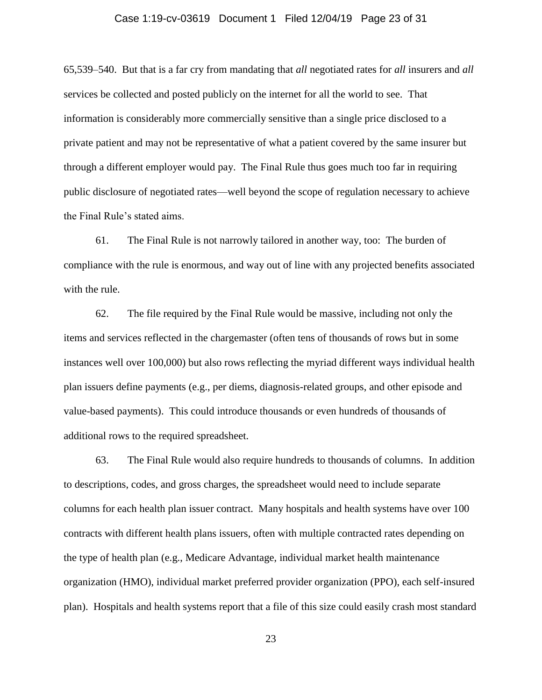## Case 1:19-cv-03619 Document 1 Filed 12/04/19 Page 23 of 31

65,539–540. But that is a far cry from mandating that *all* negotiated rates for *all* insurers and *all*  services be collected and posted publicly on the internet for all the world to see. That information is considerably more commercially sensitive than a single price disclosed to a private patient and may not be representative of what a patient covered by the same insurer but through a different employer would pay. The Final Rule thus goes much too far in requiring public disclosure of negotiated rates—well beyond the scope of regulation necessary to achieve the Final Rule's stated aims.

61. The Final Rule is not narrowly tailored in another way, too: The burden of compliance with the rule is enormous, and way out of line with any projected benefits associated with the rule.

62. The file required by the Final Rule would be massive, including not only the items and services reflected in the chargemaster (often tens of thousands of rows but in some instances well over 100,000) but also rows reflecting the myriad different ways individual health plan issuers define payments (e.g., per diems, diagnosis-related groups, and other episode and value-based payments). This could introduce thousands or even hundreds of thousands of additional rows to the required spreadsheet.

63. The Final Rule would also require hundreds to thousands of columns. In addition to descriptions, codes, and gross charges, the spreadsheet would need to include separate columns for each health plan issuer contract. Many hospitals and health systems have over 100 contracts with different health plans issuers, often with multiple contracted rates depending on the type of health plan (e.g., Medicare Advantage, individual market health maintenance organization (HMO), individual market preferred provider organization (PPO), each self-insured plan). Hospitals and health systems report that a file of this size could easily crash most standard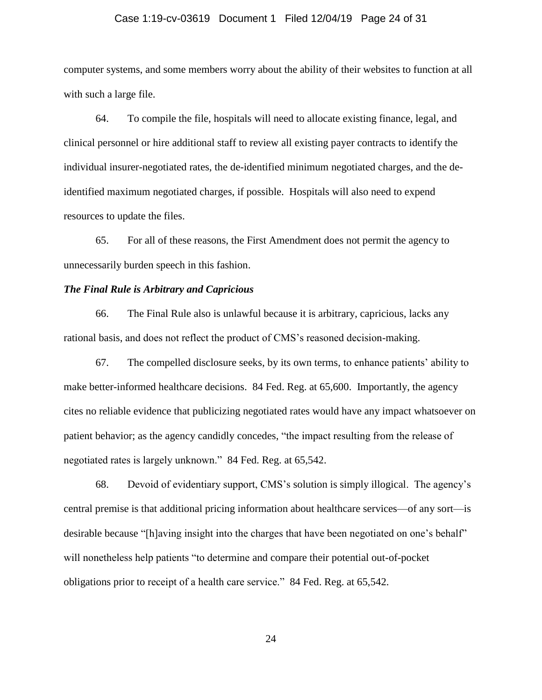#### Case 1:19-cv-03619 Document 1 Filed 12/04/19 Page 24 of 31

computer systems, and some members worry about the ability of their websites to function at all with such a large file.

64. To compile the file, hospitals will need to allocate existing finance, legal, and clinical personnel or hire additional staff to review all existing payer contracts to identify the individual insurer-negotiated rates, the de-identified minimum negotiated charges, and the deidentified maximum negotiated charges, if possible. Hospitals will also need to expend resources to update the files.

65. For all of these reasons, the First Amendment does not permit the agency to unnecessarily burden speech in this fashion.

# *The Final Rule is Arbitrary and Capricious*

66. The Final Rule also is unlawful because it is arbitrary, capricious, lacks any rational basis, and does not reflect the product of CMS's reasoned decision-making.

67. The compelled disclosure seeks, by its own terms, to enhance patients' ability to make better-informed healthcare decisions. 84 Fed. Reg. at 65,600. Importantly, the agency cites no reliable evidence that publicizing negotiated rates would have any impact whatsoever on patient behavior; as the agency candidly concedes, "the impact resulting from the release of negotiated rates is largely unknown." 84 Fed. Reg. at 65,542.

68. Devoid of evidentiary support, CMS's solution is simply illogical. The agency's central premise is that additional pricing information about healthcare services—of any sort—is desirable because "[h]aving insight into the charges that have been negotiated on one's behalf" will nonetheless help patients "to determine and compare their potential out-of-pocket obligations prior to receipt of a health care service." 84 Fed. Reg. at 65,542.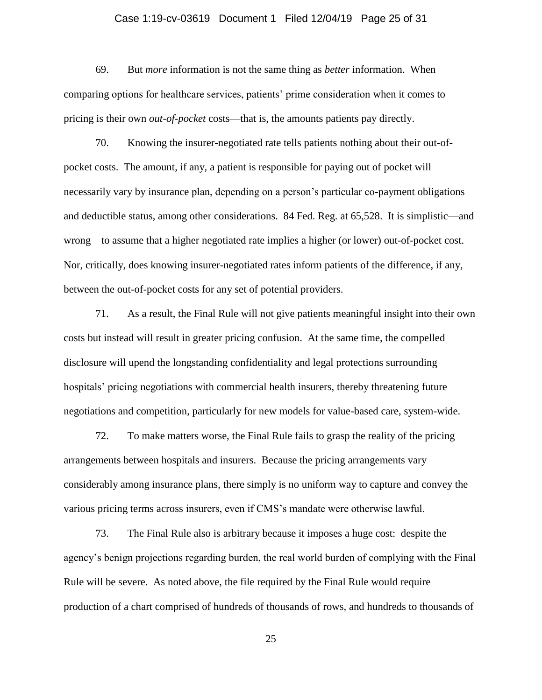## Case 1:19-cv-03619 Document 1 Filed 12/04/19 Page 25 of 31

69. But *more* information is not the same thing as *better* information. When comparing options for healthcare services, patients' prime consideration when it comes to pricing is their own *out-of-pocket* costs—that is, the amounts patients pay directly.

70. Knowing the insurer-negotiated rate tells patients nothing about their out-ofpocket costs. The amount, if any, a patient is responsible for paying out of pocket will necessarily vary by insurance plan, depending on a person's particular co-payment obligations and deductible status, among other considerations. 84 Fed. Reg. at 65,528. It is simplistic—and wrong—to assume that a higher negotiated rate implies a higher (or lower) out-of-pocket cost. Nor, critically, does knowing insurer-negotiated rates inform patients of the difference, if any, between the out-of-pocket costs for any set of potential providers.

71. As a result, the Final Rule will not give patients meaningful insight into their own costs but instead will result in greater pricing confusion. At the same time, the compelled disclosure will upend the longstanding confidentiality and legal protections surrounding hospitals' pricing negotiations with commercial health insurers, thereby threatening future negotiations and competition, particularly for new models for value-based care, system-wide.

72. To make matters worse, the Final Rule fails to grasp the reality of the pricing arrangements between hospitals and insurers. Because the pricing arrangements vary considerably among insurance plans, there simply is no uniform way to capture and convey the various pricing terms across insurers, even if CMS's mandate were otherwise lawful.

73. The Final Rule also is arbitrary because it imposes a huge cost: despite the agency's benign projections regarding burden, the real world burden of complying with the Final Rule will be severe. As noted above, the file required by the Final Rule would require production of a chart comprised of hundreds of thousands of rows, and hundreds to thousands of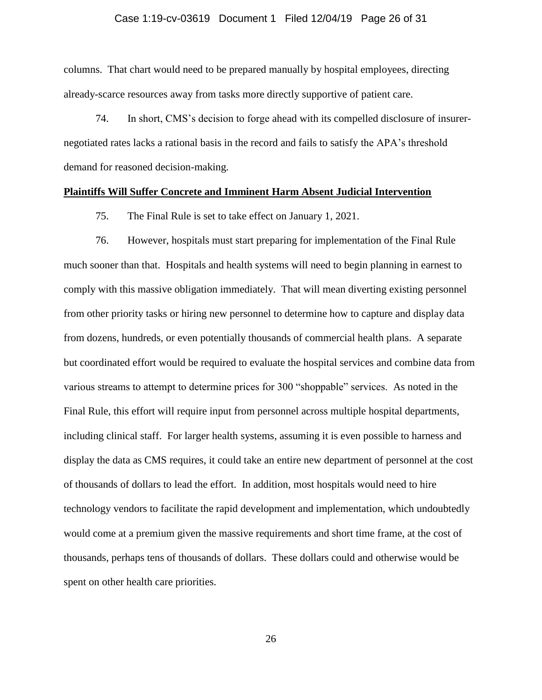## Case 1:19-cv-03619 Document 1 Filed 12/04/19 Page 26 of 31

columns. That chart would need to be prepared manually by hospital employees, directing already-scarce resources away from tasks more directly supportive of patient care.

74. In short, CMS's decision to forge ahead with its compelled disclosure of insurernegotiated rates lacks a rational basis in the record and fails to satisfy the APA's threshold demand for reasoned decision-making.

## **Plaintiffs Will Suffer Concrete and Imminent Harm Absent Judicial Intervention**

75. The Final Rule is set to take effect on January 1, 2021.

76. However, hospitals must start preparing for implementation of the Final Rule much sooner than that. Hospitals and health systems will need to begin planning in earnest to comply with this massive obligation immediately. That will mean diverting existing personnel from other priority tasks or hiring new personnel to determine how to capture and display data from dozens, hundreds, or even potentially thousands of commercial health plans. A separate but coordinated effort would be required to evaluate the hospital services and combine data from various streams to attempt to determine prices for 300 "shoppable" services. As noted in the Final Rule, this effort will require input from personnel across multiple hospital departments, including clinical staff. For larger health systems, assuming it is even possible to harness and display the data as CMS requires, it could take an entire new department of personnel at the cost of thousands of dollars to lead the effort. In addition, most hospitals would need to hire technology vendors to facilitate the rapid development and implementation, which undoubtedly would come at a premium given the massive requirements and short time frame, at the cost of thousands, perhaps tens of thousands of dollars. These dollars could and otherwise would be spent on other health care priorities.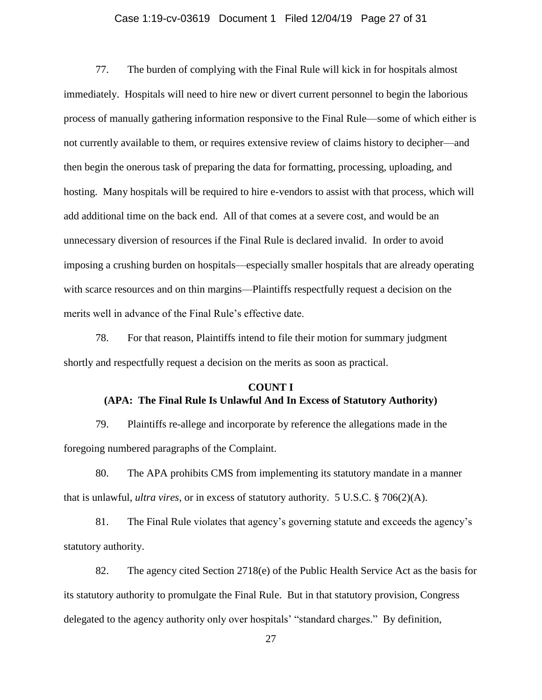## Case 1:19-cv-03619 Document 1 Filed 12/04/19 Page 27 of 31

77. The burden of complying with the Final Rule will kick in for hospitals almost immediately. Hospitals will need to hire new or divert current personnel to begin the laborious process of manually gathering information responsive to the Final Rule—some of which either is not currently available to them, or requires extensive review of claims history to decipher—and then begin the onerous task of preparing the data for formatting, processing, uploading, and hosting. Many hospitals will be required to hire e-vendors to assist with that process, which will add additional time on the back end. All of that comes at a severe cost, and would be an unnecessary diversion of resources if the Final Rule is declared invalid. In order to avoid imposing a crushing burden on hospitals—especially smaller hospitals that are already operating with scarce resources and on thin margins—Plaintiffs respectfully request a decision on the merits well in advance of the Final Rule's effective date.

78. For that reason, Plaintiffs intend to file their motion for summary judgment shortly and respectfully request a decision on the merits as soon as practical.

#### **COUNT I**

# **(APA: The Final Rule Is Unlawful And In Excess of Statutory Authority)**

79. Plaintiffs re-allege and incorporate by reference the allegations made in the foregoing numbered paragraphs of the Complaint.

80. The APA prohibits CMS from implementing its statutory mandate in a manner that is unlawful, *ultra vires*, or in excess of statutory authority. 5 U.S.C. § 706(2)(A).

81. The Final Rule violates that agency's governing statute and exceeds the agency's statutory authority.

82. The agency cited Section 2718(e) of the Public Health Service Act as the basis for its statutory authority to promulgate the Final Rule. But in that statutory provision, Congress delegated to the agency authority only over hospitals' "standard charges." By definition,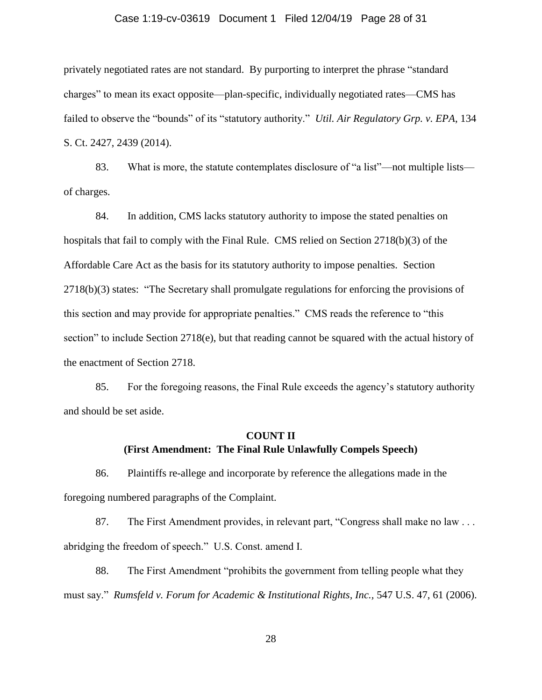## Case 1:19-cv-03619 Document 1 Filed 12/04/19 Page 28 of 31

privately negotiated rates are not standard. By purporting to interpret the phrase "standard charges" to mean its exact opposite—plan-specific, individually negotiated rates—CMS has failed to observe the "bounds" of its "statutory authority." *Util. Air Regulatory Grp. v. EPA*, 134 S. Ct. 2427, 2439 (2014).

83. What is more, the statute contemplates disclosure of "a list"—not multiple lists of charges.

84. In addition, CMS lacks statutory authority to impose the stated penalties on hospitals that fail to comply with the Final Rule. CMS relied on Section 2718(b)(3) of the Affordable Care Act as the basis for its statutory authority to impose penalties. Section 2718(b)(3) states: "The Secretary shall promulgate regulations for enforcing the provisions of this section and may provide for appropriate penalties." CMS reads the reference to "this section" to include Section 2718(e), but that reading cannot be squared with the actual history of the enactment of Section 2718.

85. For the foregoing reasons, the Final Rule exceeds the agency's statutory authority and should be set aside.

# **COUNT II (First Amendment: The Final Rule Unlawfully Compels Speech)**

86. Plaintiffs re-allege and incorporate by reference the allegations made in the foregoing numbered paragraphs of the Complaint.

87. The First Amendment provides, in relevant part, "Congress shall make no law . . . abridging the freedom of speech." U.S. Const. amend I.

88. The First Amendment "prohibits the government from telling people what they must say." *Rumsfeld v. Forum for Academic & Institutional Rights, Inc.,* 547 U.S. 47, 61 (2006).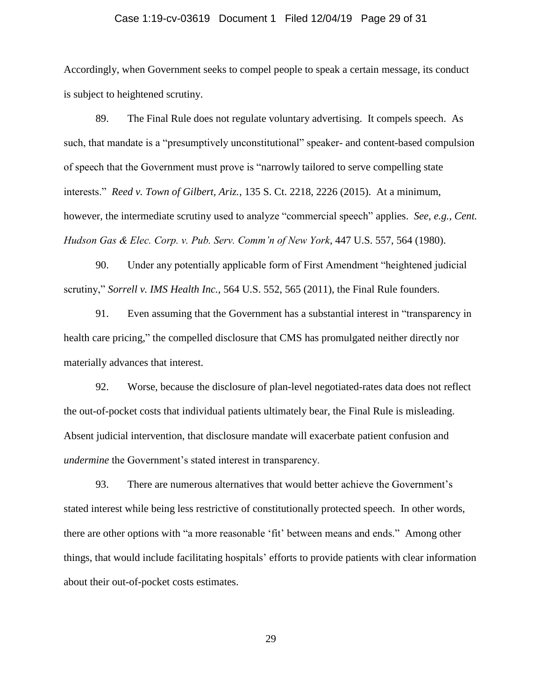## Case 1:19-cv-03619 Document 1 Filed 12/04/19 Page 29 of 31

Accordingly, when Government seeks to compel people to speak a certain message, its conduct is subject to heightened scrutiny.

89. The Final Rule does not regulate voluntary advertising. It compels speech. As such, that mandate is a "presumptively unconstitutional" speaker- and content-based compulsion of speech that the Government must prove is "narrowly tailored to serve compelling state interests." *Reed v. Town of Gilbert, Ariz.*, 135 S. Ct. 2218, 2226 (2015). At a minimum, however, the intermediate scrutiny used to analyze "commercial speech" applies. *See, e.g.*, *Cent. Hudson Gas & Elec. Corp. v. Pub. Serv. Comm'n of New York*, 447 U.S. 557, 564 (1980).

90. Under any potentially applicable form of First Amendment "heightened judicial scrutiny," *Sorrell v. IMS Health Inc.*, 564 U.S. 552, 565 (2011), the Final Rule founders.

91. Even assuming that the Government has a substantial interest in "transparency in health care pricing," the compelled disclosure that CMS has promulgated neither directly nor materially advances that interest.

92. Worse, because the disclosure of plan-level negotiated-rates data does not reflect the out-of-pocket costs that individual patients ultimately bear, the Final Rule is misleading. Absent judicial intervention, that disclosure mandate will exacerbate patient confusion and *undermine* the Government's stated interest in transparency.

93. There are numerous alternatives that would better achieve the Government's stated interest while being less restrictive of constitutionally protected speech. In other words, there are other options with "a more reasonable 'fit' between means and ends." Among other things, that would include facilitating hospitals' efforts to provide patients with clear information about their out-of-pocket costs estimates.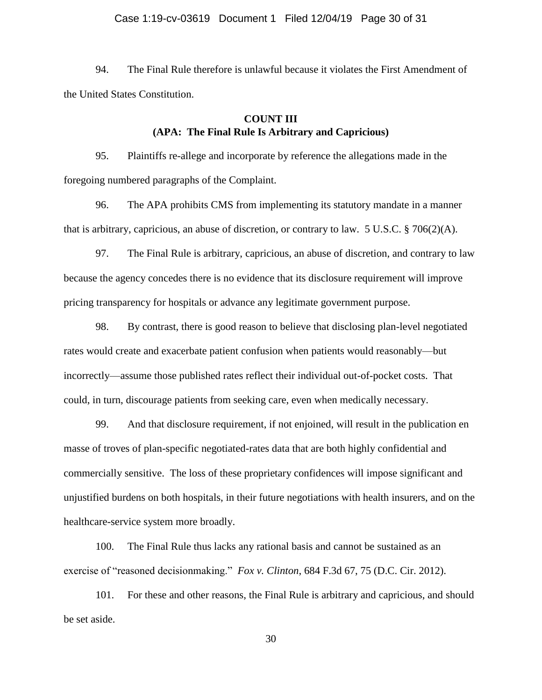## Case 1:19-cv-03619 Document 1 Filed 12/04/19 Page 30 of 31

94. The Final Rule therefore is unlawful because it violates the First Amendment of the United States Constitution.

# **COUNT III (APA: The Final Rule Is Arbitrary and Capricious)**

95. Plaintiffs re-allege and incorporate by reference the allegations made in the foregoing numbered paragraphs of the Complaint.

96. The APA prohibits CMS from implementing its statutory mandate in a manner that is arbitrary, capricious, an abuse of discretion, or contrary to law. 5 U.S.C. § 706(2)(A).

97. The Final Rule is arbitrary, capricious, an abuse of discretion, and contrary to law because the agency concedes there is no evidence that its disclosure requirement will improve pricing transparency for hospitals or advance any legitimate government purpose.

98. By contrast, there is good reason to believe that disclosing plan-level negotiated rates would create and exacerbate patient confusion when patients would reasonably—but incorrectly—assume those published rates reflect their individual out-of-pocket costs. That could, in turn, discourage patients from seeking care, even when medically necessary.

99. And that disclosure requirement, if not enjoined, will result in the publication en masse of troves of plan-specific negotiated-rates data that are both highly confidential and commercially sensitive. The loss of these proprietary confidences will impose significant and unjustified burdens on both hospitals, in their future negotiations with health insurers, and on the healthcare-service system more broadly.

100. The Final Rule thus lacks any rational basis and cannot be sustained as an exercise of "reasoned decisionmaking." *Fox v. Clinton*, 684 F.3d 67, 75 (D.C. Cir. 2012).

101. For these and other reasons, the Final Rule is arbitrary and capricious, and should be set aside.